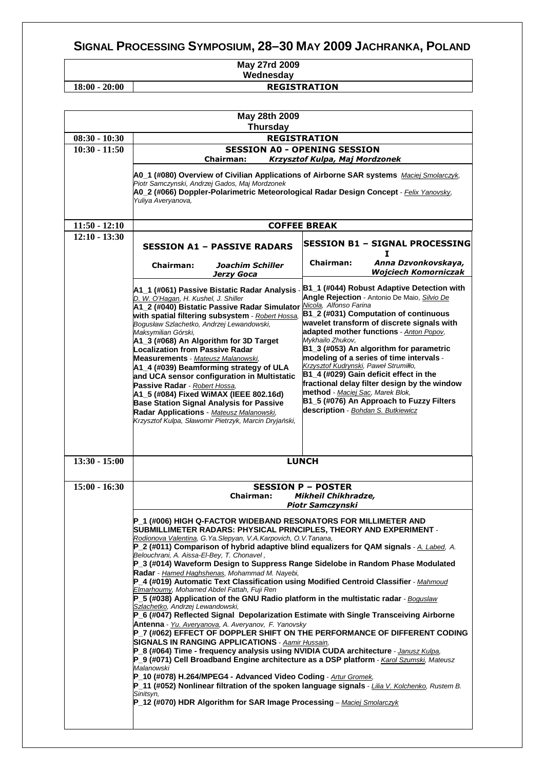## **SIGNAL PROCESSING SYMPOSIUM, 28–30 MAY 2009 JACHRANKA, POLAND**

## **May 27rd 2009 Wednesday**

**18:00 - 20:00 REGISTRATION** 

| May 28th 2009   |                                                                                                                                                                                                                                                                                                                                                                                                                                                                                                                                                                                                                                                                                                                                             |                                                                                                                                                                                                                                                                                                                                                                                                                                                                                                                                                                                                  |  |  |
|-----------------|---------------------------------------------------------------------------------------------------------------------------------------------------------------------------------------------------------------------------------------------------------------------------------------------------------------------------------------------------------------------------------------------------------------------------------------------------------------------------------------------------------------------------------------------------------------------------------------------------------------------------------------------------------------------------------------------------------------------------------------------|--------------------------------------------------------------------------------------------------------------------------------------------------------------------------------------------------------------------------------------------------------------------------------------------------------------------------------------------------------------------------------------------------------------------------------------------------------------------------------------------------------------------------------------------------------------------------------------------------|--|--|
| <b>Thursday</b> |                                                                                                                                                                                                                                                                                                                                                                                                                                                                                                                                                                                                                                                                                                                                             |                                                                                                                                                                                                                                                                                                                                                                                                                                                                                                                                                                                                  |  |  |
| $08:30 - 10:30$ | <b>REGISTRATION</b>                                                                                                                                                                                                                                                                                                                                                                                                                                                                                                                                                                                                                                                                                                                         |                                                                                                                                                                                                                                                                                                                                                                                                                                                                                                                                                                                                  |  |  |
| $10:30 - 11:50$ | <b>SESSION A0 - OPENING SESSION</b><br><b>Chairman:</b><br>Krzysztof Kulpa, Maj Mordzonek                                                                                                                                                                                                                                                                                                                                                                                                                                                                                                                                                                                                                                                   |                                                                                                                                                                                                                                                                                                                                                                                                                                                                                                                                                                                                  |  |  |
|                 | A0_1 (#080) Overview of Civilian Applications of Airborne SAR systems Maciej Smolarczyk,<br>Piotr Samczynski, Andrzej Gados, Maj Mordzonek<br>A0_2 (#066) Doppler-Polarimetric Meteorological Radar Design Concept - Felix Yanovsky,<br>Yuliya Averyanova,                                                                                                                                                                                                                                                                                                                                                                                                                                                                                  |                                                                                                                                                                                                                                                                                                                                                                                                                                                                                                                                                                                                  |  |  |
| $11:50 - 12:10$ | <b>COFFEE BREAK</b>                                                                                                                                                                                                                                                                                                                                                                                                                                                                                                                                                                                                                                                                                                                         |                                                                                                                                                                                                                                                                                                                                                                                                                                                                                                                                                                                                  |  |  |
| $12:10 - 13:30$ | <b>SESSION A1 - PASSIVE RADARS</b>                                                                                                                                                                                                                                                                                                                                                                                                                                                                                                                                                                                                                                                                                                          | <b>SESSION B1 - SIGNAL PROCESSING</b><br>1                                                                                                                                                                                                                                                                                                                                                                                                                                                                                                                                                       |  |  |
|                 | <b>Chairman:</b><br>Joachim Schiller<br>Jerzy Goca                                                                                                                                                                                                                                                                                                                                                                                                                                                                                                                                                                                                                                                                                          | Chairman:<br>Anna Dzvonkovskaya,<br><b>Wojciech Komorniczak</b>                                                                                                                                                                                                                                                                                                                                                                                                                                                                                                                                  |  |  |
|                 | A1_1 (#061) Passive Bistatic Radar Analysis -<br>D. W. O'Hagan, H. Kushel, J. Shiller<br>A1_2 (#040) Bistatic Passive Radar Simulator Nicola, Alfonso Farina<br>with spatial filtering subsystem - Robert Hossa,<br>Bogusław Szlachetko, Andrzej Lewandowski,<br>Maksymilian Górski,<br>A1_3 (#068) An Algorithm for 3D Target<br><b>Localization from Passive Radar</b><br>Measurements - Mateusz Malanowski,<br>A1_4 (#039) Beamforming strategy of ULA<br>and UCA sensor configuration in Multistatic<br>Passive Radar - Robert Hossa,<br>A1_5 (#084) Fixed WiMAX (IEEE 802.16d)<br><b>Base Station Signal Analysis for Passive</b><br>Radar Applications - Mateusz Malanowski,<br>Krzysztof Kulpa, Sławomir Pietrzyk, Marcin Dryjański, | B1_1 (#044) Robust Adaptive Detection with<br>Angle Rejection - Antonio De Maio, Silvio De<br>B1_2 (#031) Computation of continuous<br>wavelet transform of discrete signals with<br>adapted mother functions - Anton Popov,<br>Mykhailo Zhukov,<br>B1_3 (#053) An algorithm for parametric<br>modeling of a series of time intervals -<br>Krzysztof Kudrynski, Paweł Strumiłło,<br>B1_4 (#029) Gain deficit effect in the<br>fractional delay filter design by the window<br>method - Maciej Sac, Marek Blok,<br>B1_5 (#076) An Approach to Fuzzy Filters<br>description - Bohdan S. Butkiewicz |  |  |
| $13:30 - 15:00$ |                                                                                                                                                                                                                                                                                                                                                                                                                                                                                                                                                                                                                                                                                                                                             | <b>LUNCH</b>                                                                                                                                                                                                                                                                                                                                                                                                                                                                                                                                                                                     |  |  |
| $15:00 - 16:30$ |                                                                                                                                                                                                                                                                                                                                                                                                                                                                                                                                                                                                                                                                                                                                             | <b>SESSION P - POSTER</b>                                                                                                                                                                                                                                                                                                                                                                                                                                                                                                                                                                        |  |  |
|                 | <b>Chairman:</b><br><b>Mikheil Chikhradze,</b>                                                                                                                                                                                                                                                                                                                                                                                                                                                                                                                                                                                                                                                                                              |                                                                                                                                                                                                                                                                                                                                                                                                                                                                                                                                                                                                  |  |  |
|                 | <b>Piotr Samczynski</b><br>P_1 (#006) HIGH Q-FACTOR WIDEBAND RESONATORS FOR MILLIMETER AND<br>SUBMILLIMETER RADARS: PHYSICAL PRINCIPLES, THEORY AND EXPERIMENT -<br>Rodionova Valentina, G. Ya. Slepyan, V.A. Karpovich, O.V. Tanana,<br>P_2 (#011) Comparison of hybrid adaptive blind equalizers for QAM signals - A. Labed, A.                                                                                                                                                                                                                                                                                                                                                                                                           |                                                                                                                                                                                                                                                                                                                                                                                                                                                                                                                                                                                                  |  |  |
|                 | Belouchrani, A. Aissa-El-Bey, T. Chonavel,<br>P_3 (#014) Waveform Design to Suppress Range Sidelobe in Random Phase Modulated<br>Radar - Hamed Haghshenas, Mohammad M. Nayebi,                                                                                                                                                                                                                                                                                                                                                                                                                                                                                                                                                              |                                                                                                                                                                                                                                                                                                                                                                                                                                                                                                                                                                                                  |  |  |
|                 | P_4 (#019) Automatic Text Classification using Modified Centroid Classifier - Mahmoud<br>Elmarhoumy, Mohamed Abdel Fattah, Fuji Ren<br>$P_5$ (#038) Application of the GNU Radio platform in the multistatic radar - Boguslaw<br>Szlachetko, Andrzej Lewandowski,                                                                                                                                                                                                                                                                                                                                                                                                                                                                           |                                                                                                                                                                                                                                                                                                                                                                                                                                                                                                                                                                                                  |  |  |
|                 | P_6 (#047) Reflected Signal Depolarization Estimate with Single Transceiving Airborne<br>Antenna - Yu. Averyanova, A. Averyanov, F. Yanovsky<br>P 7 (#062) EFFECT OF DOPPLER SHIFT ON THE PERFORMANCE OF DIFFERENT CODING                                                                                                                                                                                                                                                                                                                                                                                                                                                                                                                   |                                                                                                                                                                                                                                                                                                                                                                                                                                                                                                                                                                                                  |  |  |
|                 | <b>SIGNALS IN RANGING APPLICATIONS - Aamir Hussain,</b><br>P 8 (#064) Time - frequency analysis using NVIDIA CUDA architecture - Janusz Kulpa,<br>P_9 (#071) Cell Broadband Engine architecture as a DSP platform - Karol Szumski, Mateusz<br>Malanowski                                                                                                                                                                                                                                                                                                                                                                                                                                                                                    |                                                                                                                                                                                                                                                                                                                                                                                                                                                                                                                                                                                                  |  |  |
|                 | P_10 (#078) H.264/MPEG4 - Advanced Video Coding - Artur Gromek,<br>P_11 (#052) Nonlinear filtration of the spoken language signals - Lilia V. Kolchenko, Rustem B.<br>Sinitsyn,                                                                                                                                                                                                                                                                                                                                                                                                                                                                                                                                                             |                                                                                                                                                                                                                                                                                                                                                                                                                                                                                                                                                                                                  |  |  |
|                 | $P_1$ (#070) HDR Algorithm for SAR Image Processing – Maciej Smolarczyk                                                                                                                                                                                                                                                                                                                                                                                                                                                                                                                                                                                                                                                                     |                                                                                                                                                                                                                                                                                                                                                                                                                                                                                                                                                                                                  |  |  |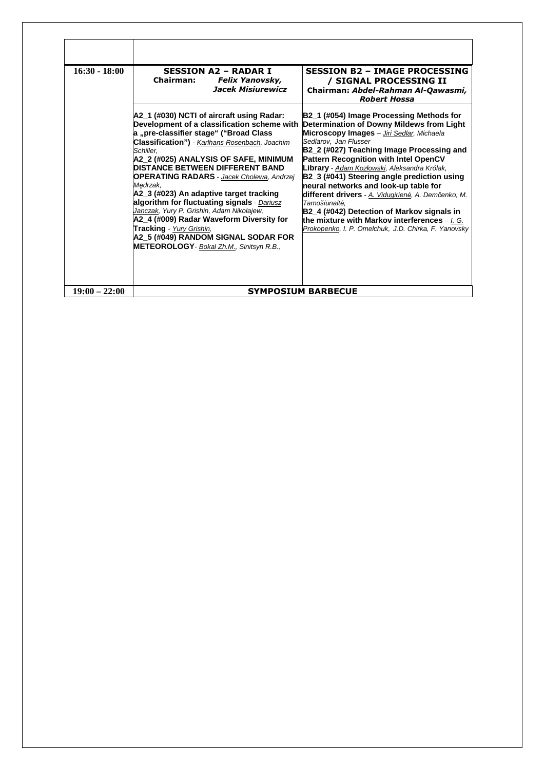| $16:30 - 18:00$ | <b>SESSION A2 - RADAR I</b><br><b>Chairman:</b><br><b>Felix Yanovsky,</b><br>Jacek Misiurewicz                                                                                                                                                                                                                                                                                                                                                                                                                                                                                                                                                                         | <b>SESSION B2 - IMAGE PROCESSING</b><br>/ SIGNAL PROCESSING II<br>Chairman: Abdel-Rahman Al-Qawasmi,<br><b>Robert Hossa</b>                                                                                                                                                                                                                                                                                                                                                                                                                                                                                               |
|-----------------|------------------------------------------------------------------------------------------------------------------------------------------------------------------------------------------------------------------------------------------------------------------------------------------------------------------------------------------------------------------------------------------------------------------------------------------------------------------------------------------------------------------------------------------------------------------------------------------------------------------------------------------------------------------------|---------------------------------------------------------------------------------------------------------------------------------------------------------------------------------------------------------------------------------------------------------------------------------------------------------------------------------------------------------------------------------------------------------------------------------------------------------------------------------------------------------------------------------------------------------------------------------------------------------------------------|
|                 | A2_1 (#030) NCTI of aircraft using Radar:<br>Development of a classification scheme with<br>a "pre-classifier stage" ("Broad Class<br>Classification") - Karlhans Rosenbach, Joachim<br>Schiller.<br>A2_2 (#025) ANALYSIS OF SAFE, MINIMUM<br><b>DISTANCE BETWEEN DIFFERENT BAND</b><br><b>OPERATING RADARS</b> - Jacek Cholewa, Andrzej<br>Medrzak.<br>A2 3 (#023) An adaptive target tracking<br>algorithm for fluctuating signals - Dariusz<br>Janczak, Yury P. Grishin, Adam Nikolajew,<br>A2_4 (#009) Radar Waveform Diversity for<br>Tracking - Yury Grishin,<br>A2_5 (#049) RANDOM SIGNAL SODAR FOR<br><b>METEOROLOGY</b> - <b>Bokal Zh.M.</b> , Sinitsyn R.B., | B2_1 (#054) Image Processing Methods for<br>Determination of Downy Mildews from Light<br>Microscopy Images - Jiri Sedlar, Michaela<br>Sedlarov. Jan Flusser<br>B2_2 (#027) Teaching Image Processing and<br>Pattern Recognition with Intel OpenCV<br>Library - Adam Kozłowski, Aleksandra Królak,<br>B2_3 (#041) Steering angle prediction using<br>neural networks and look-up table for<br>different drivers - A. Vidugirienė, A. Demčenko, M.<br>Tamošiūnaitė.<br>B2_4 (#042) Detection of Markov signals in<br>the mixture with Markov interferences $-1.$ G.<br>Prokopenko, I. P. Omelchuk, J.D. Chirka, F. Yanovsky |
| $19:00 - 22:00$ |                                                                                                                                                                                                                                                                                                                                                                                                                                                                                                                                                                                                                                                                        | <b>SYMPOSIUM BARBECUE</b>                                                                                                                                                                                                                                                                                                                                                                                                                                                                                                                                                                                                 |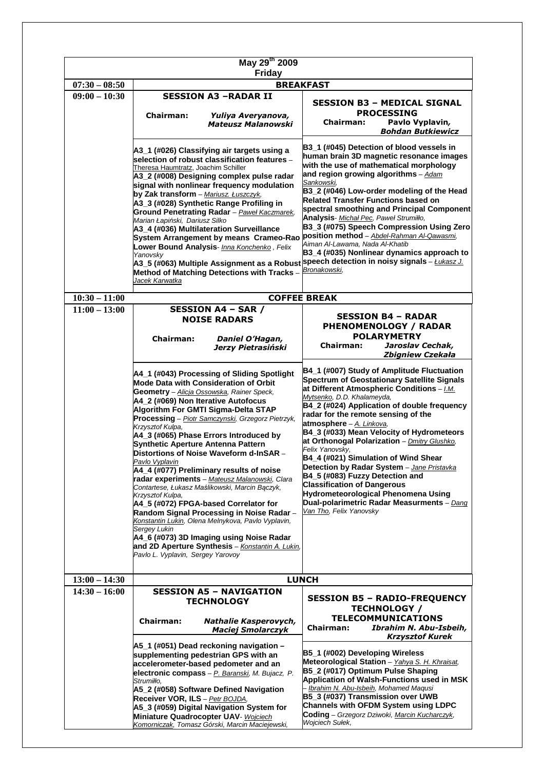| May 29th 2009                                        |                                                                                                                                                                                                                                                                                                                                                                                                                                                                                                                                                                                                                                                                                                                                                                                                                                                                                                                  |                                                                                                                                                                                                                                                                                                                                                                                                                                                                                                                                                                                                                                                                                              |
|------------------------------------------------------|------------------------------------------------------------------------------------------------------------------------------------------------------------------------------------------------------------------------------------------------------------------------------------------------------------------------------------------------------------------------------------------------------------------------------------------------------------------------------------------------------------------------------------------------------------------------------------------------------------------------------------------------------------------------------------------------------------------------------------------------------------------------------------------------------------------------------------------------------------------------------------------------------------------|----------------------------------------------------------------------------------------------------------------------------------------------------------------------------------------------------------------------------------------------------------------------------------------------------------------------------------------------------------------------------------------------------------------------------------------------------------------------------------------------------------------------------------------------------------------------------------------------------------------------------------------------------------------------------------------------|
| <b>Friday</b><br>$07:30 - 08:50$<br><b>BREAKFAST</b> |                                                                                                                                                                                                                                                                                                                                                                                                                                                                                                                                                                                                                                                                                                                                                                                                                                                                                                                  |                                                                                                                                                                                                                                                                                                                                                                                                                                                                                                                                                                                                                                                                                              |
| $09:00 - 10:30$                                      | <b>SESSION A3 -RADAR II</b>                                                                                                                                                                                                                                                                                                                                                                                                                                                                                                                                                                                                                                                                                                                                                                                                                                                                                      |                                                                                                                                                                                                                                                                                                                                                                                                                                                                                                                                                                                                                                                                                              |
|                                                      | <b>Chairman:</b><br>Yuliya Averyanova,<br><b>Mateusz Malanowski</b>                                                                                                                                                                                                                                                                                                                                                                                                                                                                                                                                                                                                                                                                                                                                                                                                                                              | SESSION B3 – MEDICAL SIGNAL<br><b>PROCESSING</b><br>Chairman:<br>Pavlo Vyplavin,<br><b>Bohdan Butkiewicz</b>                                                                                                                                                                                                                                                                                                                                                                                                                                                                                                                                                                                 |
|                                                      | A3_1 (#026) Classifying air targets using a<br>selection of robust classification features -<br>Theresa Haumtratz, Joachim Schiller<br>A3_2 (#008) Designing complex pulse radar<br>signal with nonlinear frequency modulation<br>by Zak transform - Mariusz. Łuszczyk,<br>A3_3 (#028) Synthetic Range Profiling in<br>Ground Penetrating Radar - Paweł Kaczmarek,<br>Marian Łapiński, Dariusz Silko<br>A3_4 (#036) Multilateration Surveillance<br>System Arrangement by means Crameo-Rao <b>position method</b> – Abdel-Rahman Al-Qawasmi,<br>Lower Bound Analysis- Inna Konchenko, Felix<br>Yanovsky<br>A3_5 (#063) Multiple Assignment as a Robust <sup> speech</sup> detection in noisy signals – <u>Łukasz J.</u><br>Method of Matching Detections with Tracks -<br>Jacek Karwatka                                                                                                                         | B3_1 (#045) Detection of blood vessels in<br>human brain 3D magnetic resonance images<br>with the use of mathematical morphology<br>and region growing algorithms - Adam<br>Sankowski,<br>B3_2 (#046) Low-order modeling of the Head<br><b>Related Transfer Functions based on</b><br>spectral smoothing and Principal Component<br>Analysis- Michał Pec, Paweł Strumiłło,<br>B3_3 (#075) Speech Compression Using Zero<br>Aiman Al-Lawama, Nada Al-Khatib<br>B3_4 (#035) Nonlinear dynamics approach to<br>Bronakowski,                                                                                                                                                                     |
| $10:30 - 11:00$                                      |                                                                                                                                                                                                                                                                                                                                                                                                                                                                                                                                                                                                                                                                                                                                                                                                                                                                                                                  | <b>COFFEE BREAK</b>                                                                                                                                                                                                                                                                                                                                                                                                                                                                                                                                                                                                                                                                          |
| $11:00 - 13:00$                                      | <b>SESSION A4 - SAR /</b><br><b>NOISE RADARS</b><br><b>Chairman:</b><br>Daniel O'Hagan,<br>Jerzy Pietrasiński                                                                                                                                                                                                                                                                                                                                                                                                                                                                                                                                                                                                                                                                                                                                                                                                    | <b>SESSION B4 - RADAR</b><br><b>PHENOMENOLOGY / RADAR</b><br><b>POLARYMETRY</b><br><b>Chairman:</b><br>Jaroslav Cechak,<br>Zbigniew Czekała                                                                                                                                                                                                                                                                                                                                                                                                                                                                                                                                                  |
|                                                      | A4_1 (#043) Processing of Sliding Spotlight<br>Mode Data with Consideration of Orbit<br>Geometry - Alicja Ossowska, Rainer Speck,<br>A4_2 (#069) Non Iterative Autofocus<br>Algorithm For GMTI Sigma-Delta STAP<br>Processing - Piotr Samczynski, Grzegorz Pietrzyk,<br>Krzysztof Kulpa,<br>A4_3 (#065) Phase Errors Introduced by<br>Synthetic Aperture Antenna Pattern<br>Distortions of Noise Waveform d-InSAR -<br><u>Pavlo Vyplavin</u><br>A4_4 (#077) Preliminary results of noise<br>radar experiments - Mateusz Malanowski, Clara<br>Contartese, Łukasz Maślikowski, Marcin Bączyk,<br>Krzysztof Kulpa,<br>A4_5 (#072) FPGA-based Correlator for<br>Random Signal Processing in Noise Radar -<br>Konstantin Lukin, Olena Melnykova, Pavlo Vyplavin,<br>Sergey Lukin<br>A4_6 (#073) 3D Imaging using Noise Radar<br>and 2D Aperture Synthesis - Konstantin A. Lukin,<br>Pavlo L. Vyplavin, Sergey Yarovoy | B4_1 (#007) Study of Amplitude Fluctuation<br><b>Spectrum of Geostationary Satellite Signals</b><br>at Different Atmospheric Conditions - [M.<br>Mytsenko, D.D. Khalameyda,<br>B4_2 (#024) Application of double frequency<br>radar for the remote sensing of the<br>atmosphere - A. Linkova,<br>B4_3 (#033) Mean Velocity of Hydrometeors<br>at Orthonogal Polarization - Dmitry Glushko,<br>Felix Yanovsky.<br>B4_4 (#021) Simulation of Wind Shear<br>Detection by Radar System - Jane Pristavka<br>B4_5 (#083) Fuzzy Detection and<br><b>Classification of Dangerous</b><br>Hydrometeorological Phenomena Using<br>Dual-polarimetric Radar Measurments - Dang<br>Van Tho, Felix Yanovsky |
| $13:00 - 14:30$                                      |                                                                                                                                                                                                                                                                                                                                                                                                                                                                                                                                                                                                                                                                                                                                                                                                                                                                                                                  | <b>LUNCH</b>                                                                                                                                                                                                                                                                                                                                                                                                                                                                                                                                                                                                                                                                                 |
| $14:30 - 16:00$                                      | <b>SESSION A5 - NAVIGATION</b>                                                                                                                                                                                                                                                                                                                                                                                                                                                                                                                                                                                                                                                                                                                                                                                                                                                                                   |                                                                                                                                                                                                                                                                                                                                                                                                                                                                                                                                                                                                                                                                                              |
|                                                      | <b>TECHNOLOGY</b><br><b>Chairman:</b><br>Nathalie Kasperovych,<br><b>Maciej Smolarczyk</b>                                                                                                                                                                                                                                                                                                                                                                                                                                                                                                                                                                                                                                                                                                                                                                                                                       | <b>SESSION B5 - RADIO-FREQUENCY</b><br><b>TECHNOLOGY /</b><br><b>TELECOMMUNICATIONS</b><br>Ibrahim N. Abu-Isbeih,<br><b>Chairman:</b><br><b>Krzysztof Kurek</b>                                                                                                                                                                                                                                                                                                                                                                                                                                                                                                                              |
|                                                      | A5_1 (#051) Dead reckoning navigation -<br>supplementing pedestrian GPS with an<br>accelerometer-based pedometer and an<br>electronic compass - P. Baranski, M. Bujacz, P.<br>Strumiłło,<br>A5_2 (#058) Software Defined Navigation<br>Receiver VOR, ILS - Petr BOJDA,<br>A5_3 (#059) Digital Navigation System for<br>Miniature Quadrocopter UAV- Wojciech<br>Komorniczak, Tomasz Górski, Marcin Maciejewski,                                                                                                                                                                                                                                                                                                                                                                                                                                                                                                   | B5_1 (#002) Developing Wireless<br>Meteorological Station - Yahya S. H. Khraisat,<br>B5_2 (#017) Optimum Pulse Shaping<br>Application of Walsh-Functions used in MSK<br>Ibrahim N. Abu-Isbeih, Mohamed Maqusi<br>B5_3 (#037) Transmission over UWB<br>Channels with OFDM System using LDPC<br>Coding - Grzegorz Dziwoki, Marcin Kucharczyk,<br>Wojciech Sułek,                                                                                                                                                                                                                                                                                                                               |